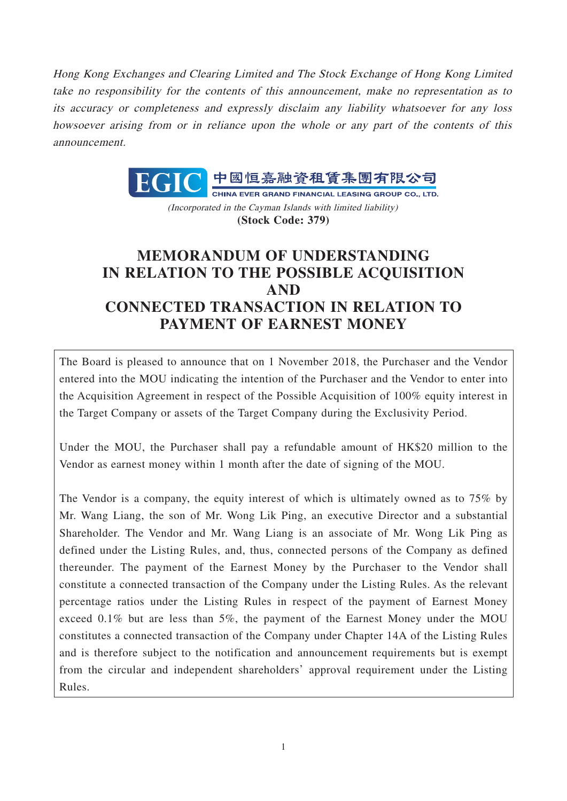Hong Kong Exchanges and Clearing Limited and The Stock Exchange of Hong Kong Limited take no responsibility for the contents of this announcement, make no representation as to its accuracy or completeness and expressly disclaim any liability whatsoever for any loss howsoever arising from or in reliance upon the whole or any part of the contents of this announcement.



(Incorporated in the Cayman Islands with limited liability) **(Stock Code: 379)**

# **MEMORANDUM OF UNDERSTANDING IN RELATION TO THE POSSIBLE ACQUISITION AND CONNECTED TRANSACTION IN RELATION TO PAYMENT OF EARNEST MONEY**

The Board is pleased to announce that on 1 November 2018, the Purchaser and the Vendor entered into the MOU indicating the intention of the Purchaser and the Vendor to enter into the Acquisition Agreement in respect of the Possible Acquisition of 100% equity interest in the Target Company or assets of the Target Company during the Exclusivity Period.

Under the MOU, the Purchaser shall pay a refundable amount of HK\$20 million to the Vendor as earnest money within 1 month after the date of signing of the MOU.

The Vendor is a company, the equity interest of which is ultimately owned as to 75% by Mr. Wang Liang, the son of Mr. Wong Lik Ping, an executive Director and a substantial Shareholder. The Vendor and Mr. Wang Liang is an associate of Mr. Wong Lik Ping as defined under the Listing Rules, and, thus, connected persons of the Company as defined thereunder. The payment of the Earnest Money by the Purchaser to the Vendor shall constitute a connected transaction of the Company under the Listing Rules. As the relevant percentage ratios under the Listing Rules in respect of the payment of Earnest Money exceed 0.1% but are less than 5%, the payment of the Earnest Money under the MOU constitutes a connected transaction of the Company under Chapter 14A of the Listing Rules and is therefore subject to the notification and announcement requirements but is exempt from the circular and independent shareholders' approval requirement under the Listing Rules.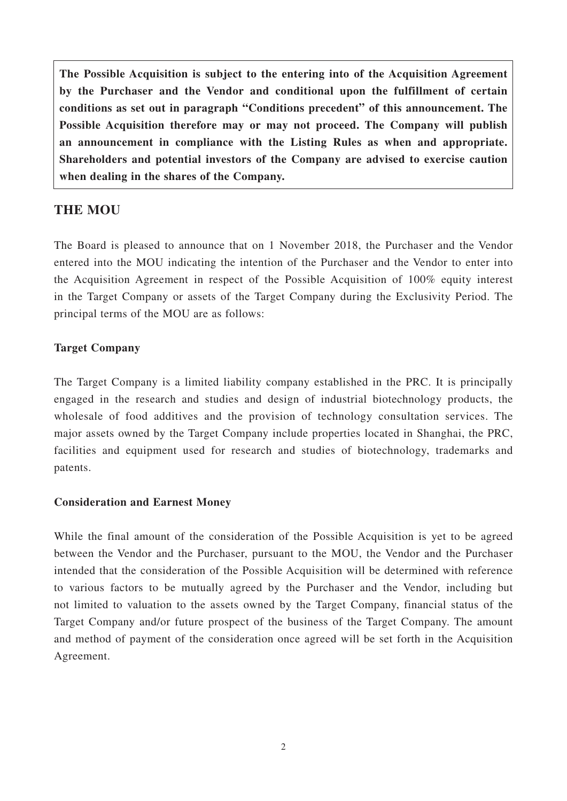**The Possible Acquisition is subject to the entering into of the Acquisition Agreement by the Purchaser and the Vendor and conditional upon the fulfillment of certain conditions as set out in paragraph "Conditions precedent" of this announcement. The Possible Acquisition therefore may or may not proceed. The Company will publish an announcement in compliance with the Listing Rules as when and appropriate. Shareholders and potential investors of the Company are advised to exercise caution when dealing in the shares of the Company.**

# **THE MOU**

The Board is pleased to announce that on 1 November 2018, the Purchaser and the Vendor entered into the MOU indicating the intention of the Purchaser and the Vendor to enter into the Acquisition Agreement in respect of the Possible Acquisition of 100% equity interest in the Target Company or assets of the Target Company during the Exclusivity Period. The principal terms of the MOU are as follows:

#### **Target Company**

The Target Company is a limited liability company established in the PRC. It is principally engaged in the research and studies and design of industrial biotechnology products, the wholesale of food additives and the provision of technology consultation services. The major assets owned by the Target Company include properties located in Shanghai, the PRC, facilities and equipment used for research and studies of biotechnology, trademarks and patents.

#### **Consideration and Earnest Money**

While the final amount of the consideration of the Possible Acquisition is yet to be agreed between the Vendor and the Purchaser, pursuant to the MOU, the Vendor and the Purchaser intended that the consideration of the Possible Acquisition will be determined with reference to various factors to be mutually agreed by the Purchaser and the Vendor, including but not limited to valuation to the assets owned by the Target Company, financial status of the Target Company and/or future prospect of the business of the Target Company. The amount and method of payment of the consideration once agreed will be set forth in the Acquisition Agreement.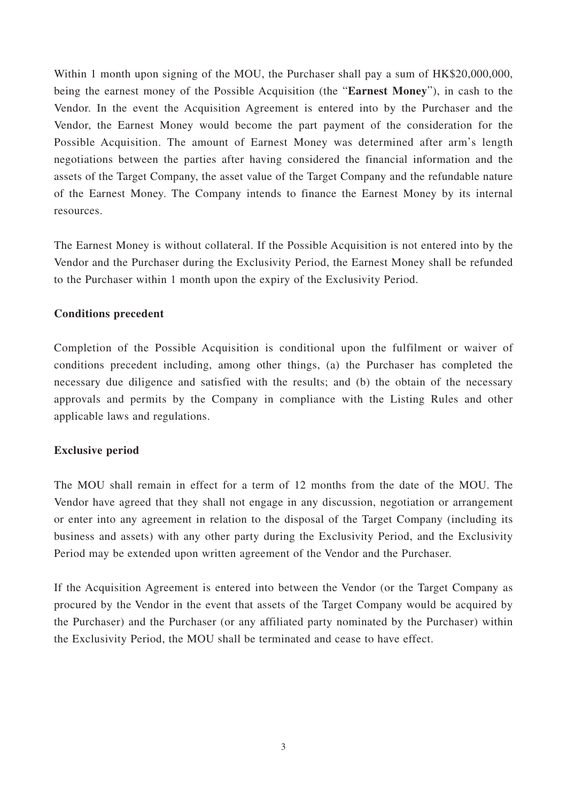Within 1 month upon signing of the MOU, the Purchaser shall pay a sum of HK\$20,000,000, being the earnest money of the Possible Acquisition (the "**Earnest Money**"), in cash to the Vendor. In the event the Acquisition Agreement is entered into by the Purchaser and the Vendor, the Earnest Money would become the part payment of the consideration for the Possible Acquisition. The amount of Earnest Money was determined after arm's length negotiations between the parties after having considered the financial information and the assets of the Target Company, the asset value of the Target Company and the refundable nature of the Earnest Money. The Company intends to finance the Earnest Money by its internal resources.

The Earnest Money is without collateral. If the Possible Acquisition is not entered into by the Vendor and the Purchaser during the Exclusivity Period, the Earnest Money shall be refunded to the Purchaser within 1 month upon the expiry of the Exclusivity Period.

#### **Conditions precedent**

Completion of the Possible Acquisition is conditional upon the fulfilment or waiver of conditions precedent including, among other things, (a) the Purchaser has completed the necessary due diligence and satisfied with the results; and (b) the obtain of the necessary approvals and permits by the Company in compliance with the Listing Rules and other applicable laws and regulations.

#### **Exclusive period**

The MOU shall remain in effect for a term of 12 months from the date of the MOU. The Vendor have agreed that they shall not engage in any discussion, negotiation or arrangement or enter into any agreement in relation to the disposal of the Target Company (including its business and assets) with any other party during the Exclusivity Period, and the Exclusivity Period may be extended upon written agreement of the Vendor and the Purchaser.

If the Acquisition Agreement is entered into between the Vendor (or the Target Company as procured by the Vendor in the event that assets of the Target Company would be acquired by the Purchaser) and the Purchaser (or any affiliated party nominated by the Purchaser) within the Exclusivity Period, the MOU shall be terminated and cease to have effect.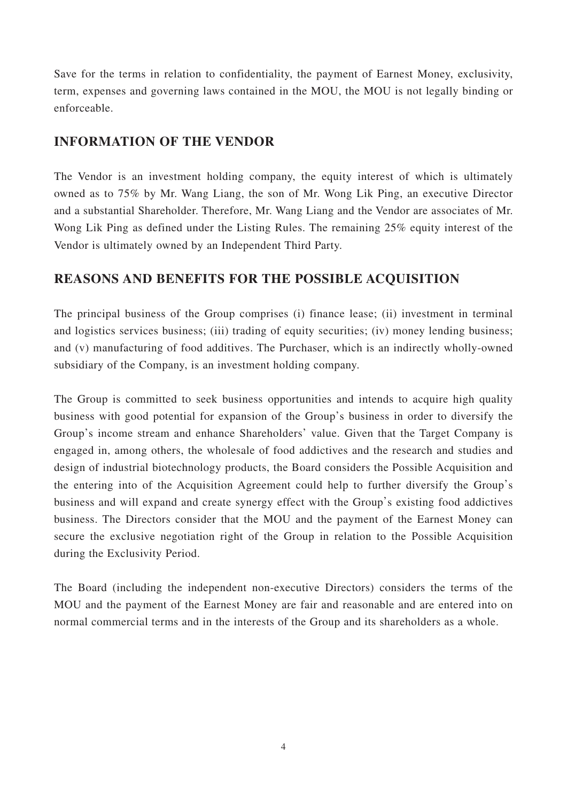Save for the terms in relation to confidentiality, the payment of Earnest Money, exclusivity, term, expenses and governing laws contained in the MOU, the MOU is not legally binding or enforceable.

### **INFORMATION OF THE VENDOR**

The Vendor is an investment holding company, the equity interest of which is ultimately owned as to 75% by Mr. Wang Liang, the son of Mr. Wong Lik Ping, an executive Director and a substantial Shareholder. Therefore, Mr. Wang Liang and the Vendor are associates of Mr. Wong Lik Ping as defined under the Listing Rules. The remaining 25% equity interest of the Vendor is ultimately owned by an Independent Third Party.

# **REASONS AND BENEFITS FOR THE POSSIBLE ACQUISITION**

The principal business of the Group comprises (i) finance lease; (ii) investment in terminal and logistics services business; (iii) trading of equity securities; (iv) money lending business; and (v) manufacturing of food additives. The Purchaser, which is an indirectly wholly-owned subsidiary of the Company, is an investment holding company.

The Group is committed to seek business opportunities and intends to acquire high quality business with good potential for expansion of the Group's business in order to diversify the Group's income stream and enhance Shareholders' value. Given that the Target Company is engaged in, among others, the wholesale of food addictives and the research and studies and design of industrial biotechnology products, the Board considers the Possible Acquisition and the entering into of the Acquisition Agreement could help to further diversify the Group's business and will expand and create synergy effect with the Group's existing food addictives business. The Directors consider that the MOU and the payment of the Earnest Money can secure the exclusive negotiation right of the Group in relation to the Possible Acquisition during the Exclusivity Period.

The Board (including the independent non-executive Directors) considers the terms of the MOU and the payment of the Earnest Money are fair and reasonable and are entered into on normal commercial terms and in the interests of the Group and its shareholders as a whole.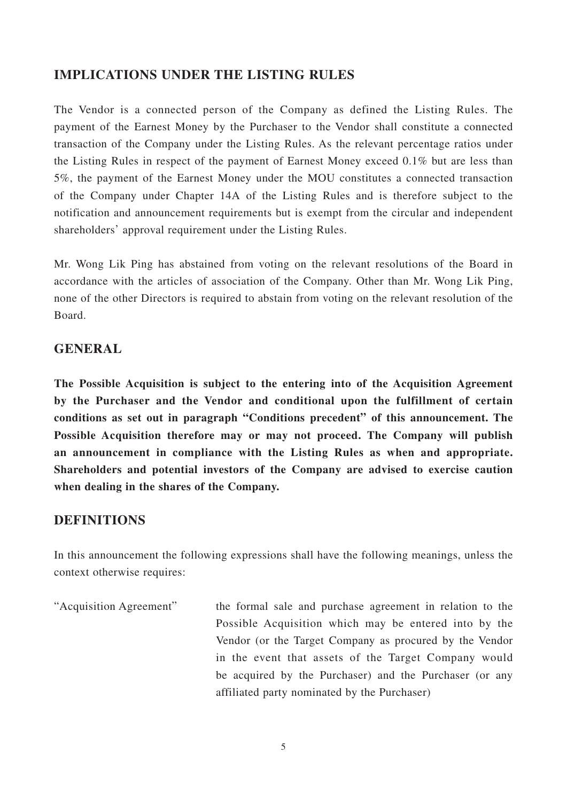### **IMPLICATIONS UNDER THE LISTING RULES**

The Vendor is a connected person of the Company as defined the Listing Rules. The payment of the Earnest Money by the Purchaser to the Vendor shall constitute a connected transaction of the Company under the Listing Rules. As the relevant percentage ratios under the Listing Rules in respect of the payment of Earnest Money exceed 0.1% but are less than 5%, the payment of the Earnest Money under the MOU constitutes a connected transaction of the Company under Chapter 14A of the Listing Rules and is therefore subject to the notification and announcement requirements but is exempt from the circular and independent shareholders' approval requirement under the Listing Rules.

Mr. Wong Lik Ping has abstained from voting on the relevant resolutions of the Board in accordance with the articles of association of the Company. Other than Mr. Wong Lik Ping, none of the other Directors is required to abstain from voting on the relevant resolution of the Board.

### **GENERAL**

**The Possible Acquisition is subject to the entering into of the Acquisition Agreement by the Purchaser and the Vendor and conditional upon the fulfillment of certain conditions as set out in paragraph "Conditions precedent" of this announcement. The Possible Acquisition therefore may or may not proceed. The Company will publish an announcement in compliance with the Listing Rules as when and appropriate. Shareholders and potential investors of the Company are advised to exercise caution when dealing in the shares of the Company.**

### **DEFINITIONS**

In this announcement the following expressions shall have the following meanings, unless the context otherwise requires:

"Acquisition Agreement" the formal sale and purchase agreement in relation to the Possible Acquisition which may be entered into by the Vendor (or the Target Company as procured by the Vendor in the event that assets of the Target Company would be acquired by the Purchaser) and the Purchaser (or any affiliated party nominated by the Purchaser)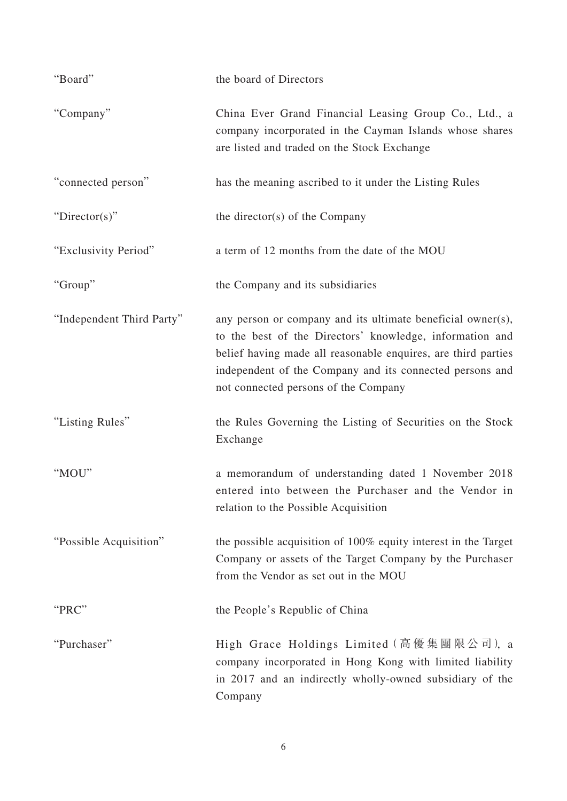| "Board"                   | the board of Directors                                                                                                                                                                                                                                                                       |
|---------------------------|----------------------------------------------------------------------------------------------------------------------------------------------------------------------------------------------------------------------------------------------------------------------------------------------|
| "Company"                 | China Ever Grand Financial Leasing Group Co., Ltd., a<br>company incorporated in the Cayman Islands whose shares<br>are listed and traded on the Stock Exchange                                                                                                                              |
| "connected person"        | has the meaning ascribed to it under the Listing Rules                                                                                                                                                                                                                                       |
| " $Directory$ "           | the director(s) of the Company                                                                                                                                                                                                                                                               |
| "Exclusivity Period"      | a term of 12 months from the date of the MOU                                                                                                                                                                                                                                                 |
| "Group"                   | the Company and its subsidiaries                                                                                                                                                                                                                                                             |
| "Independent Third Party" | any person or company and its ultimate beneficial owner(s),<br>to the best of the Directors' knowledge, information and<br>belief having made all reasonable enquires, are third parties<br>independent of the Company and its connected persons and<br>not connected persons of the Company |
| "Listing Rules"           | the Rules Governing the Listing of Securities on the Stock<br>Exchange                                                                                                                                                                                                                       |
| "MOU"                     | a memorandum of understanding dated 1 November 2018<br>entered into between the Purchaser and the Vendor in<br>relation to the Possible Acquisition                                                                                                                                          |
| "Possible Acquisition"    | the possible acquisition of 100% equity interest in the Target<br>Company or assets of the Target Company by the Purchaser<br>from the Vendor as set out in the MOU                                                                                                                          |
| "PRC"                     | the People's Republic of China                                                                                                                                                                                                                                                               |
| "Purchaser"               | High Grace Holdings Limited (高優集團限公司), a<br>company incorporated in Hong Kong with limited liability<br>in 2017 and an indirectly wholly-owned subsidiary of the<br>Company                                                                                                                  |